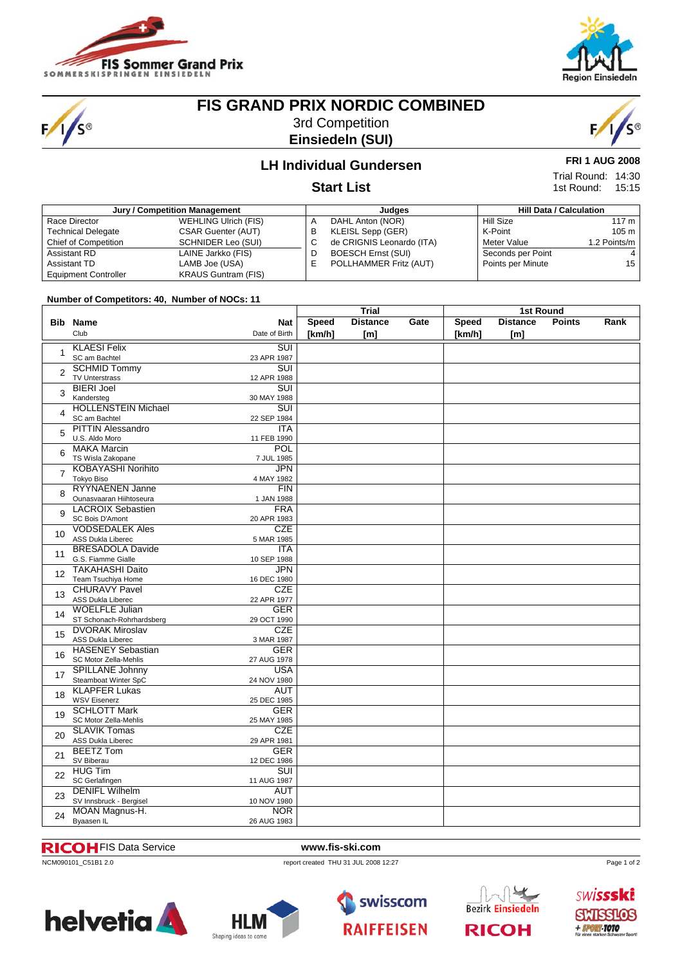

'S®



# **FIS GRAND PRIX NORDIC COMBINED**

3rd Competition **Einsiedeln (SUI)**



**FRI 1 AUG 2008** Trial Round: 14:30 15:15 1st Round:

## **LH Individual Gundersen**

### **Start List**

| Jury / Competition Management |                             |   | Judges                    | <b>Hill Data / Calculation</b> |                   |              |
|-------------------------------|-----------------------------|---|---------------------------|--------------------------------|-------------------|--------------|
| Race Director                 | <b>WEHLING Ulrich (FIS)</b> | A | DAHL Anton (NOR)          |                                | Hill Size         | 117 m        |
| <b>Technical Delegate</b>     | <b>CSAR Guenter (AUT)</b>   | В | KLEISL Sepp (GER)         |                                | K-Point           | 105 m        |
| Chief of Competition          | SCHNIDER Leo (SUI)          | U | de CRIGNIS Leonardo (ITA) |                                | Meter Value       | 1.2 Points/m |
| Assistant RD                  | LAINE Jarkko (FIS)          | D | <b>BOESCH Ernst (SUI)</b> |                                | Seconds per Point |              |
| Assistant TD                  | LAMB Joe (USA)              | E | POLLHAMMER Fritz (AUT)    |                                | Points per Minute | 15           |
| <b>Equipment Controller</b>   | <b>KRAUS Guntram (FIS)</b>  |   |                           |                                |                   |              |

#### **Number of Competitors: 40, Number of NOCs: 11**

|                       |                                                    |                          | <b>Trial</b> |                 |      | 1st Round    |                 |               |      |  |
|-----------------------|----------------------------------------------------|--------------------------|--------------|-----------------|------|--------------|-----------------|---------------|------|--|
|                       | <b>Bib Name</b>                                    | <b>Nat</b>               | <b>Speed</b> | <b>Distance</b> | Gate | <b>Speed</b> | <b>Distance</b> | <b>Points</b> | Rank |  |
|                       | Club                                               | Date of Birth            | [km/h]       | [ml]            |      | [km/h]       | [m]             |               |      |  |
|                       | <b>KLAESI Felix</b>                                | $\overline{\text{SUI}}$  |              |                 |      |              |                 |               |      |  |
| 1                     | SC am Bachtel                                      | 23 APR 1987              |              |                 |      |              |                 |               |      |  |
|                       | <b>SCHMID Tommy</b>                                | $\overline{\text{SUI}}$  |              |                 |      |              |                 |               |      |  |
| 2                     | <b>TV Unterstrass</b>                              | 12 APR 1988              |              |                 |      |              |                 |               |      |  |
|                       | <b>BIERI Joel</b>                                  | $\overline{\text{SUI}}$  |              |                 |      |              |                 |               |      |  |
| 3                     | Kandersteg                                         | 30 MAY 1988              |              |                 |      |              |                 |               |      |  |
|                       | <b>HOLLENSTEIN Michael</b>                         | $\overline{\text{SUI}}$  |              |                 |      |              |                 |               |      |  |
| 4                     | SC am Bachtel                                      | 22 SEP 1984              |              |                 |      |              |                 |               |      |  |
|                       | <b>PITTIN Alessandro</b>                           | <b>ITA</b>               |              |                 |      |              |                 |               |      |  |
| 5                     | U.S. Aldo Moro                                     | 11 FEB 1990              |              |                 |      |              |                 |               |      |  |
|                       | <b>MAKA Marcin</b>                                 | POL                      |              |                 |      |              |                 |               |      |  |
| 6                     | TS Wisla Zakopane                                  | 7 JUL 1985               |              |                 |      |              |                 |               |      |  |
|                       | <b>KOBAYASHI Norihito</b>                          | JPN                      |              |                 |      |              |                 |               |      |  |
| $\overline{7}$        | Tokyo Biso                                         | 4 MAY 1982               |              |                 |      |              |                 |               |      |  |
|                       | <b>RYYNAENEN Janne</b>                             | FIN                      |              |                 |      |              |                 |               |      |  |
| 8                     | Ounasvaaran Hiihtoseura                            | 1 JAN 1988               |              |                 |      |              |                 |               |      |  |
|                       | <b>LACROIX Sebastien</b>                           | <b>FRA</b>               |              |                 |      |              |                 |               |      |  |
| 9                     | SC Bois D'Amont                                    | 20 APR 1983              |              |                 |      |              |                 |               |      |  |
| 10 <sup>1</sup><br>11 | <b>VODSEDALEK Ales</b>                             | <b>CZE</b>               |              |                 |      |              |                 |               |      |  |
|                       | ASS Dukla Liberec                                  | 5 MAR 1985               |              |                 |      |              |                 |               |      |  |
|                       | <b>BRESADOLA Davide</b>                            | <b>ITA</b>               |              |                 |      |              |                 |               |      |  |
|                       | G.S. Fiamme Gialle                                 | 10 SEP 1988              |              |                 |      |              |                 |               |      |  |
| 12                    | <b>TAKAHASHI Daito</b>                             | <b>JPN</b>               |              |                 |      |              |                 |               |      |  |
|                       | Team Tsuchiya Home                                 | 16 DEC 1980              |              |                 |      |              |                 |               |      |  |
| 13                    | <b>CHURAVY Pavel</b>                               | <b>CZE</b>               |              |                 |      |              |                 |               |      |  |
|                       | <b>ASS Dukla Liberec</b>                           | 22 APR 1977              |              |                 |      |              |                 |               |      |  |
| 14                    | <b>WOELFLE Julian</b>                              | <b>GER</b>               |              |                 |      |              |                 |               |      |  |
|                       | ST Schonach-Rohrhardsberg                          | 29 OCT 1990              |              |                 |      |              |                 |               |      |  |
| 15                    | <b>DVORAK Miroslav</b><br><b>ASS Dukla Liberec</b> | <b>CZE</b><br>3 MAR 1987 |              |                 |      |              |                 |               |      |  |
|                       | <b>HASENEY Sebastian</b>                           | <b>GER</b>               |              |                 |      |              |                 |               |      |  |
| 16                    | SC Motor Zella-Mehlis                              | 27 AUG 1978              |              |                 |      |              |                 |               |      |  |
|                       | <b>SPILLANE Johnny</b>                             | <b>USA</b>               |              |                 |      |              |                 |               |      |  |
| 17                    | Steamboat Winter SpC                               | 24 NOV 1980              |              |                 |      |              |                 |               |      |  |
|                       | <b>KLAPFER Lukas</b>                               | <b>AUT</b>               |              |                 |      |              |                 |               |      |  |
| 18                    | <b>WSV Eisenerz</b>                                | 25 DEC 1985              |              |                 |      |              |                 |               |      |  |
|                       | <b>SCHLOTT Mark</b>                                | <b>GER</b>               |              |                 |      |              |                 |               |      |  |
| 19                    | SC Motor Zella-Mehlis                              | 25 MAY 1985              |              |                 |      |              |                 |               |      |  |
|                       | <b>SLAVIK Tomas</b>                                | <b>CZE</b>               |              |                 |      |              |                 |               |      |  |
| 20                    | <b>ASS Dukla Liberec</b>                           | 29 APR 1981              |              |                 |      |              |                 |               |      |  |
|                       | <b>BEETZ Tom</b>                                   | <b>GER</b>               |              |                 |      |              |                 |               |      |  |
| 21                    | SV Biberau                                         | 12 DEC 1986              |              |                 |      |              |                 |               |      |  |
| 22                    | <b>HUG Tim</b>                                     | $\overline{\text{SUI}}$  |              |                 |      |              |                 |               |      |  |
|                       | SC Gerlafingen                                     | 11 AUG 1987              |              |                 |      |              |                 |               |      |  |
| 23                    | <b>DENIFL Wilhelm</b>                              | <b>AUT</b>               |              |                 |      |              |                 |               |      |  |
|                       | SV Innsbruck - Bergisel                            | 10 NOV 1980              |              |                 |      |              |                 |               |      |  |
| 24                    | MOAN Magnus-H.                                     | <b>NOR</b>               |              |                 |      |              |                 |               |      |  |
|                       | Byaasen IL                                         | 26 AUG 1983              |              |                 |      |              |                 |               |      |  |

#### FIS Data Service **www.fis-ski.com**

NCM090101\_C51B1 2.0 report created THU 31 JUL 2008 12:27







**Bezirk Einsiedeln RICOH** 

Page 1 of 2